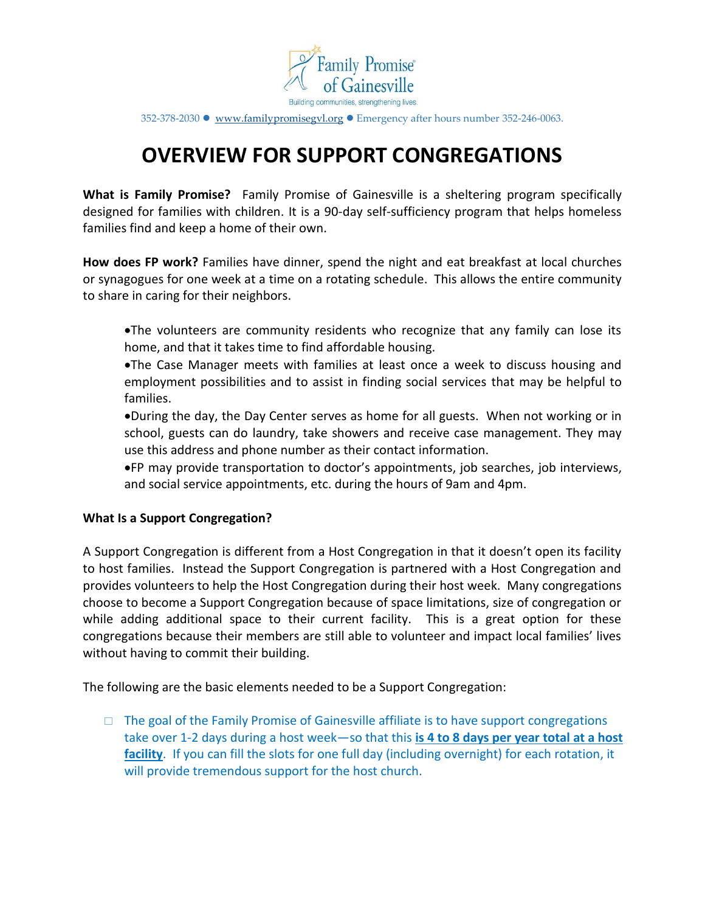

352-378-2030 [www.familypromisegvl.org](http://www.familypromisegvl.org/) Emergency after hours number 352-246-0063.

# **OVERVIEW FOR SUPPORT CONGREGATIONS**

**What is Family Promise?** Family Promise of Gainesville is a sheltering program specifically designed for families with children. It is a 90-day self-sufficiency program that helps homeless families find and keep a home of their own.

**How does FP work?** Families have dinner, spend the night and eat breakfast at local churches or synagogues for one week at a time on a rotating schedule. This allows the entire community to share in caring for their neighbors.

- The volunteers are community residents who recognize that any family can lose its home, and that it takes time to find affordable housing.
- The Case Manager meets with families at least once a week to discuss housing and employment possibilities and to assist in finding social services that may be helpful to families.
- During the day, the Day Center serves as home for all guests. When not working or in school, guests can do laundry, take showers and receive case management. They may use this address and phone number as their contact information.
- FP may provide transportation to doctor's appointments, job searches, job interviews, and social service appointments, etc. during the hours of 9am and 4pm.

## **What Is a Support Congregation?**

A Support Congregation is different from a Host Congregation in that it doesn't open its facility to host families. Instead the Support Congregation is partnered with a Host Congregation and provides volunteers to help the Host Congregation during their host week. Many congregations choose to become a Support Congregation because of space limitations, size of congregation or while adding additional space to their current facility. This is a great option for these congregations because their members are still able to volunteer and impact local families' lives without having to commit their building.

The following are the basic elements needed to be a Support Congregation:

 $\Box$  The goal of the Family Promise of Gainesville affiliate is to have support congregations take over 1-2 days during a host week—so that this **is 4 to 8 days per year total at a host facility**. If you can fill the slots for one full day (including overnight) for each rotation, it will provide tremendous support for the host church.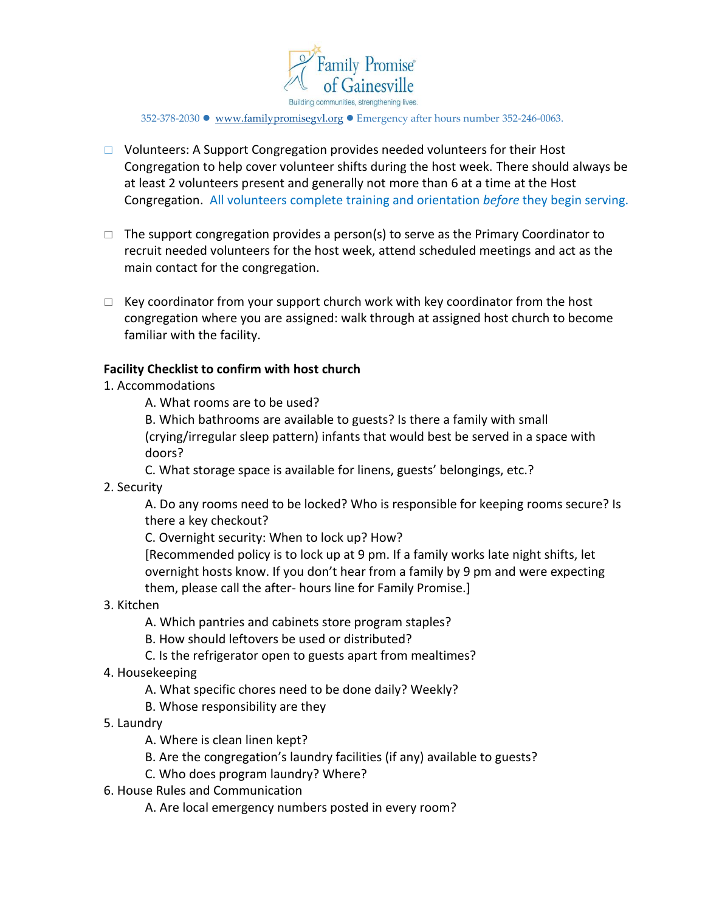

352-378-2030 [www.familypromisegvl.org](http://www.familypromisegvl.org/) Emergency after hours number 352-246-0063.

- □ Volunteers: A Support Congregation provides needed volunteers for their Host Congregation to help cover volunteer shifts during the host week. There should always be at least 2 volunteers present and generally not more than 6 at a time at the Host Congregation. All volunteers complete training and orientation *before* they begin serving.
- $\Box$  The support congregation provides a person(s) to serve as the Primary Coordinator to recruit needed volunteers for the host week, attend scheduled meetings and act as the main contact for the congregation.
- $\Box$  Key coordinator from your support church work with key coordinator from the host congregation where you are assigned: walk through at assigned host church to become familiar with the facility.

## **Facility Checklist to confirm with host church**

## 1. Accommodations

A. What rooms are to be used?

B. Which bathrooms are available to guests? Is there a family with small (crying/irregular sleep pattern) infants that would best be served in a space with doors?

C. What storage space is available for linens, guests' belongings, etc.?

## 2. Security

A. Do any rooms need to be locked? Who is responsible for keeping rooms secure? Is there a key checkout?

C. Overnight security: When to lock up? How?

[Recommended policy is to lock up at 9 pm. If a family works late night shifts, let overnight hosts know. If you don't hear from a family by 9 pm and were expecting them, please call the after- hours line for Family Promise.]

3. Kitchen

A. Which pantries and cabinets store program staples?

B. How should leftovers be used or distributed?

- C. Is the refrigerator open to guests apart from mealtimes?
- 4. Housekeeping
	- A. What specific chores need to be done daily? Weekly?
	- B. Whose responsibility are they
- 5. Laundry
	- A. Where is clean linen kept?
	- B. Are the congregation's laundry facilities (if any) available to guests?
	- C. Who does program laundry? Where?
- 6. House Rules and Communication

A. Are local emergency numbers posted in every room?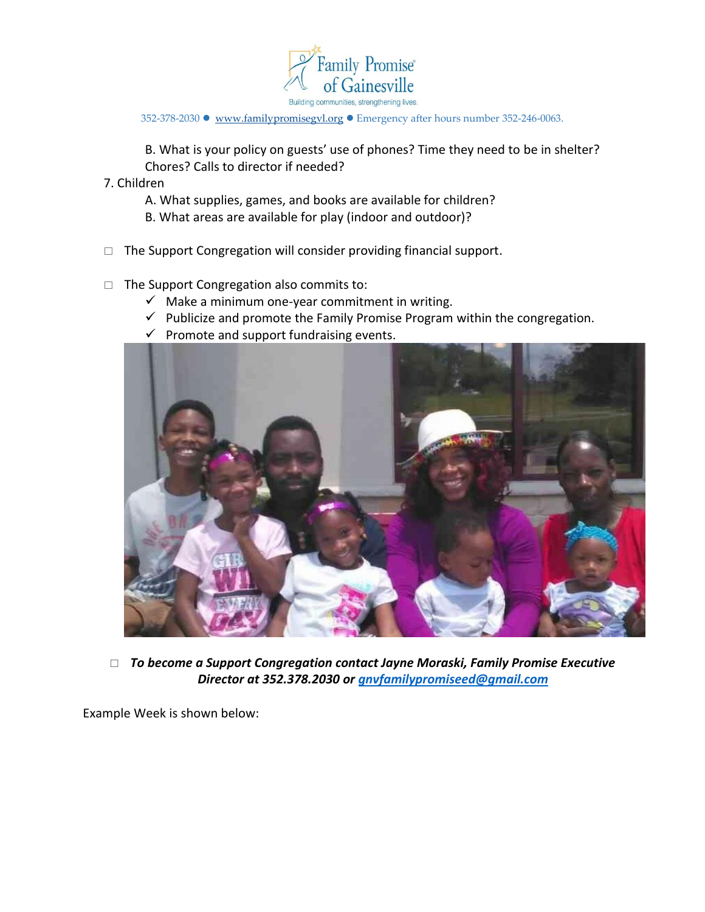

352-378-2030 • www.familypromisegyl.org • Emergency after hours number 352-246-0063.

B. What is your policy on guests' use of phones? Time they need to be in shelter? Chores? Calls to director if needed?

7. Children

- A. What supplies, games, and books are available for children?
- B. What areas are available for play (indoor and outdoor)?
- $\Box$  The Support Congregation will consider providing financial support.
- $\Box$  The Support Congregation also commits to:
	- $\checkmark$  Make a minimum one-year commitment in writing.
	- $\checkmark$  Publicize and promote the Family Promise Program within the congregation.
	- $\checkmark$  Promote and support fundraising events.



 *To become a Support Congregation contact Jayne Moraski, Family Promise Executive Director at 352.378.2030 or [gnvfamilypromiseed@gmail.com](mailto:gnvfamilypromiseed@gmail.com)*

Example Week is shown below: